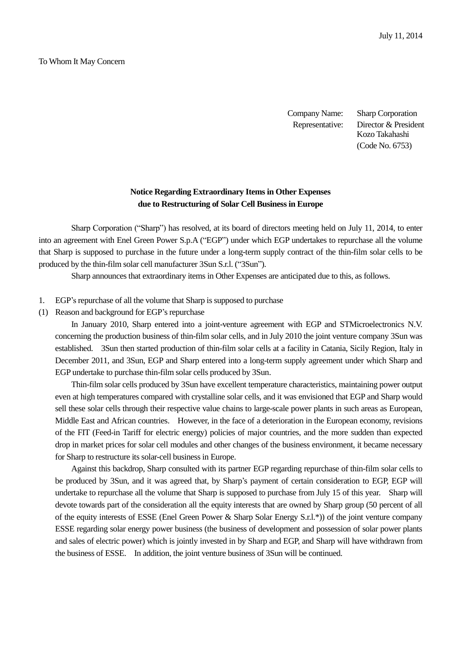## To Whom It May Concern

Company Name: Sharp Corporation Representative: Director & President Kozo Takahashi (Code No. 6753)

## **Notice Regarding Extraordinary Items in Other Expenses due to Restructuring of Solar Cell Business in Europe**

Sharp Corporation ("Sharp") has resolved, at its board of directors meeting held on July 11, 2014, to enter into an agreement with Enel Green Power S.p.A ("EGP") under which EGP undertakes to repurchase all the volume that Sharp is supposed to purchase in the future under a long-term supply contract of the thin-film solar cells to be produced by the thin-film solar cell manufacturer 3Sun S.r.l. ("3Sun").

Sharp announces that extraordinary items in Other Expenses are anticipated due to this, as follows.

- 1. EGP's repurchase of all the volume that Sharp is supposed to purchase
- (1) Reason and background for EGP's repurchase

In January 2010, Sharp entered into a joint-venture agreement with EGP and STMicroelectronics N.V. concerning the production business of thin-film solar cells, and in July 2010 the joint venture company 3Sun was established. 3Sun then started production of thin-film solar cells at a facility in Catania, Sicily Region, Italy in December 2011, and 3Sun, EGP and Sharp entered into a long-term supply agreement under which Sharp and EGP undertake to purchase thin-film solar cells produced by 3Sun.

Thin-film solar cells produced by 3Sun have excellent temperature characteristics, maintaining power output even at high temperatures compared with crystalline solar cells, and it was envisioned that EGP and Sharp would sell these solar cells through their respective value chains to large-scale power plants in such areas as European, Middle East and African countries. However, in the face of a deterioration in the European economy, revisions of the FIT (Feed-in Tariff for electric energy) policies of major countries, and the more sudden than expected drop in market prices for solar cell modules and other changes of the business environment, it became necessary for Sharp to restructure its solar-cell business in Europe.

Against this backdrop, Sharp consulted with its partner EGP regarding repurchase of thin-film solar cells to be produced by 3Sun, and it was agreed that, by Sharp's payment of certain consideration to EGP, EGP will undertake to repurchase all the volume that Sharp is supposed to purchase from July 15 of this year. Sharp will devote towards part of the consideration all the equity interests that are owned by Sharp group (50 percent of all of the equity interests of ESSE (Enel Green Power & Sharp Solar Energy  $S.r.l.*$ )) of the joint venture company ESSE regarding solar energy power business (the business of development and possession of solar power plants and sales of electric power) which is jointly invested in by Sharp and EGP, and Sharp will have withdrawn from the business of ESSE. In addition, the joint venture business of 3Sun will be continued.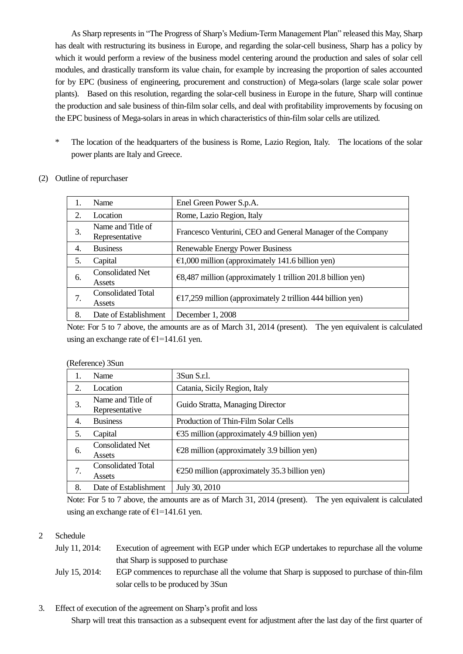As Sharp represents in "The Progress of Sharp's Medium-Term Management Plan" released this May, Sharp has dealt with restructuring its business in Europe, and regarding the solar-cell business, Sharp has a policy by which it would perform a review of the business model centering around the production and sales of solar cell modules, and drastically transform its value chain, for example by increasing the proportion of sales accounted for by EPC (business of engineering, procurement and construction) of Mega-solars (large scale solar power plants). Based on this resolution, regarding the solar-cell business in Europe in the future, Sharp will continue the production and sale business of thin-film solar cells, and deal with profitability improvements by focusing on the EPC business of Mega-solars in areas in which characteristics of thin-film solar cells are utilized.

- \* The location of the headquarters of the business is Rome, Lazio Region, Italy. The locations of the solar power plants are Italy and Greece.
- (2) Outline of repurchaser

|    | Name                                | Enel Green Power S.p.A.                                              |
|----|-------------------------------------|----------------------------------------------------------------------|
| 2. | Location                            | Rome, Lazio Region, Italy                                            |
| 3. | Name and Title of<br>Representative | Francesco Venturini, CEO and General Manager of the Company          |
| 4. | <b>Business</b>                     | <b>Renewable Energy Power Business</b>                               |
| 5. | Capital                             | $\epsilon$ 1,000 million (approximately 141.6 billion yen)           |
| 6. | <b>Consolidated Net</b><br>Assets   | $E$ , 487 million (approximately 1 trillion 201.8 billion yen)       |
| 7. | <b>Consolidated Total</b><br>Assets | $\epsilon$ 17,259 million (approximately 2 trillion 444 billion yen) |
| 8. | Date of Establishment               | December 1, 2008                                                     |

Note: For 5 to 7 above, the amounts are as of March 31, 2014 (present). The yen equivalent is calculated using an exchange rate of  $E1=141.61$  yen.

| 1. | Name                                | 3Sun S.r.1.                                             |
|----|-------------------------------------|---------------------------------------------------------|
| 2. | Location                            | Catania, Sicily Region, Italy                           |
| 3. | Name and Title of<br>Representative | Guido Stratta, Managing Director                        |
| 4. | <b>Business</b>                     | Production of Thin-Film Solar Cells                     |
| 5. | Capital                             | $\epsilon$ 35 million (approximately 4.9 billion yen)   |
| 6. | <b>Consolidated Net</b><br>Assets   | $E28$ million (approximately 3.9 billion yen)           |
| 7. | <b>Consolidated Total</b><br>Assets | $\epsilon$ 250 million (approximately 35.3 billion yen) |
| 8. | Date of Establishment               | July 30, 2010                                           |

| (Reference) 3Sun |  |
|------------------|--|
|------------------|--|

Note: For 5 to 7 above, the amounts are as of March 31, 2014 (present). The yen equivalent is calculated using an exchange rate of  $E1=141.61$  yen.

## 2 Schedule

- July 11, 2014: Execution of agreement with EGP under which EGP undertakes to repurchase all the volume that Sharp is supposed to purchase
- July 15, 2014: EGP commences to repurchase all the volume that Sharp is supposed to purchase of thin-film solar cells to be produced by 3Sun
- 3. Effect of execution of the agreement on Sharp's profit and loss

Sharp will treat this transaction as a subsequent event for adjustment after the last day of the first quarter of